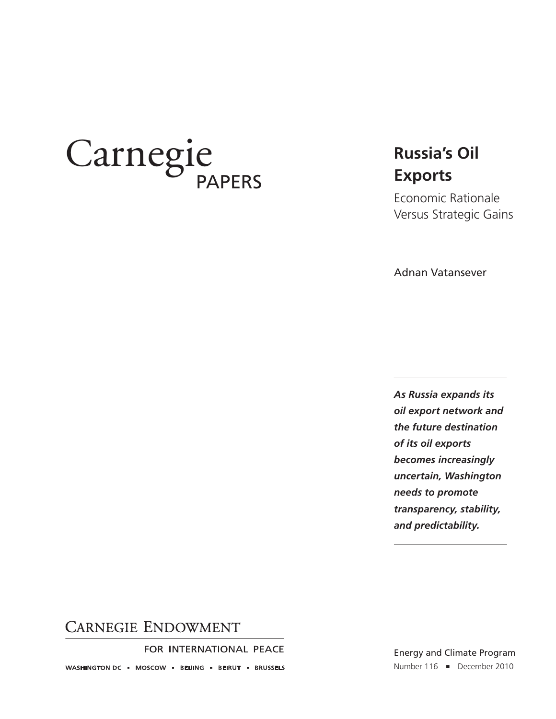# Carnegie

# **Russia's Oil Exports**

Economic Rationale Versus Strategic Gains

Adnan Vatansever

*As Russia expands its oil export network and the future destination of its oil exports becomes increasingly uncertain, Washington needs to promote transparency, stability, and predictability.*

#### **CARNEGIE ENDOWMENT**

FOR INTERNATIONAL PEACE

WASHINGTON DC = MOSCOW = BEIJING = BEIRUT = BRUSSELS

Energy and Climate Program Number 116 = December 2010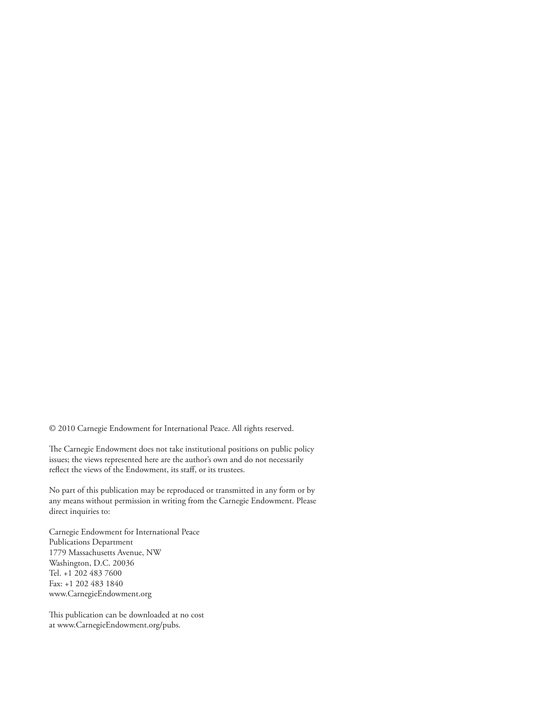© 2010 Carnegie Endowment for International Peace. All rights reserved.

The Carnegie Endowment does not take institutional positions on public policy issues; the views represented here are the author's own and do not necessarily reflect the views of the Endowment, its staff, or its trustees.

No part of this publication may be reproduced or transmitted in any form or by any means without permission in writing from the Carnegie Endowment. Please direct inquiries to:

Carnegie Endowment for International Peace Publications Department 1779 Massachusetts Avenue, NW Washington, D.C. 20036 Tel. +1 202 483 7600 Fax: +1 202 483 1840 www.CarnegieEndowment.org

This publication can be downloaded at no cost at www.CarnegieEndowment.org/pubs.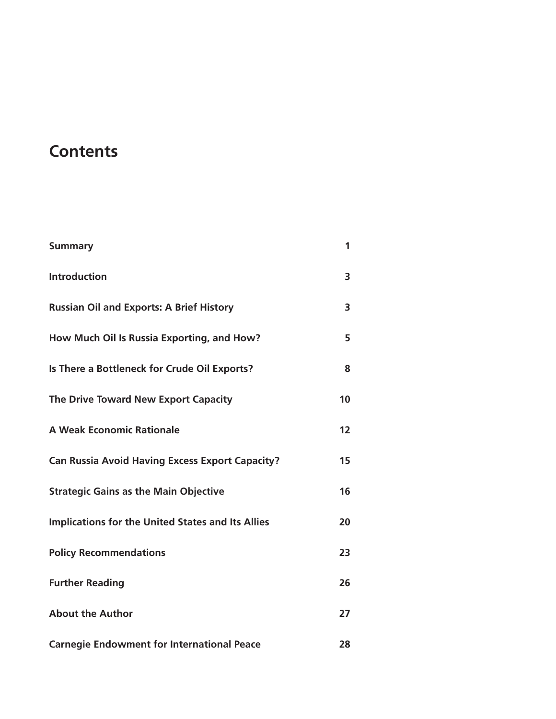# **Contents**

| <b>Summary</b>                                           | 1  |
|----------------------------------------------------------|----|
| <b>Introduction</b>                                      | 3  |
| <b>Russian Oil and Exports: A Brief History</b>          | 3  |
| How Much Oil Is Russia Exporting, and How?               | 5  |
| Is There a Bottleneck for Crude Oil Exports?             | 8  |
| The Drive Toward New Export Capacity                     | 10 |
| <b>A Weak Economic Rationale</b>                         | 12 |
| <b>Can Russia Avoid Having Excess Export Capacity?</b>   | 15 |
| <b>Strategic Gains as the Main Objective</b>             | 16 |
| <b>Implications for the United States and Its Allies</b> | 20 |
| <b>Policy Recommendations</b>                            | 23 |
| <b>Further Reading</b>                                   | 26 |
| <b>About the Author</b>                                  | 27 |
| <b>Carnegie Endowment for International Peace</b>        | 28 |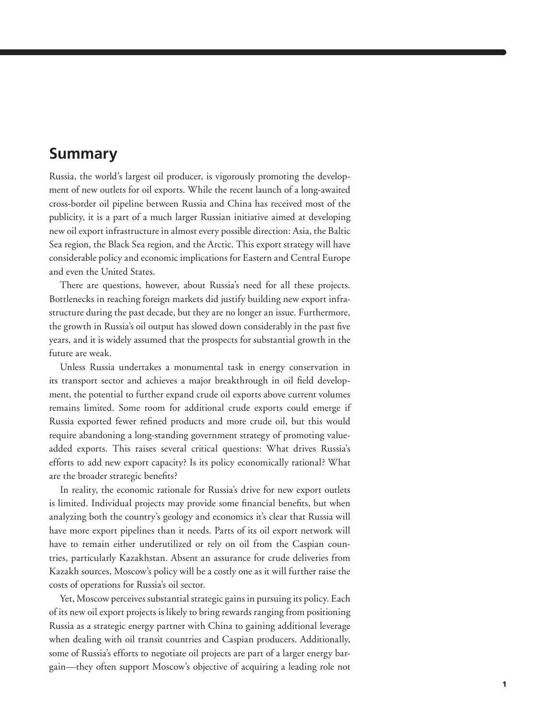## **Summary**

Russia, the world's largest oil producer, is vigorously promoting the development of new outlets for oil exports. While the recent launch of a long-awaited cross-border oil pipeline between Russia and China has received most of the publicity, it is a part of a much larger Russian initiative aimed at developing new oil export infrastructure in almost every possible direction: Asia, the Baltic Sea region, the Black Sea region, and the Arctic. This export strategy will have considerable policy and economic implications for Eastern and Central Europe and even the United States.

There are questions, however, about Russia's need for all these projects. Bottlenecks in reaching foreign markets did justify building new export infrastructure during the past decade, but they are no longer an issue. Furthermore, the growth in Russia's oil output has slowed down considerably in the past five years, and it is widely assumed that the prospects for substantial growth in the future are weak.

Unless Russia undertakes a monumental task in energy conservation in its transport sector and achieves a major breakthrough in oil field development, the potential to further expand crude oil exports above current volumes remains limited. Some room for additional crude exports could emerge if Russia exported fewer refined products and more crude oil, but this would require abandoning a long-standing government strategy of promoting valueadded exports. This raises several critical questions: What drives Russia's efforts to add new export capacity? Is its policy economically rational? What are the broader strategic benefits?

In reality, the economic rationale for Russia's drive for new export outlets is limited. Individual projects may provide some financial benefits, but when analyzing both the country's geology and economics it's clear that Russia will have more export pipelines than it needs. Parts of its oil export network will have to remain either underutilized or rely on oil from the Caspian countries, particularly Kazakhstan. Absent an assurance for crude deliveries from Kazakh sources, Moscow's policy will be a costly one as it will further raise the costs of operations for Russia's oil sector.

Yet, Moscow perceives substantial strategic gains in pursuing its policy. Each of its new oil export projects is likely to bring rewards ranging from positioning Russia as a strategic energy partner with China to gaining additional leverage when dealing with oil transit countries and Caspian producers. Additionally, some of Russia's efforts to negotiate oil projects are part of a larger energy bargain—they often support Moscow's objective of acquiring a leading role not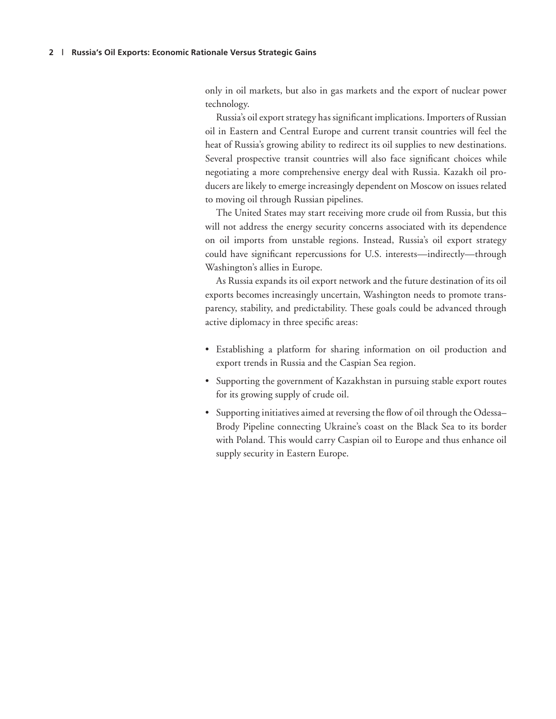only in oil markets, but also in gas markets and the export of nuclear power technology.

Russia's oil export strategy has significant implications. Importers of Russian oil in Eastern and Central Europe and current transit countries will feel the heat of Russia's growing ability to redirect its oil supplies to new destinations. Several prospective transit countries will also face significant choices while negotiating a more comprehensive energy deal with Russia. Kazakh oil producers are likely to emerge increasingly dependent on Moscow on issues related to moving oil through Russian pipelines.

The United States may start receiving more crude oil from Russia, but this will not address the energy security concerns associated with its dependence on oil imports from unstable regions. Instead, Russia's oil export strategy could have significant repercussions for U.S. interests—indirectly—through Washington's allies in Europe.

As Russia expands its oil export network and the future destination of its oil exports becomes increasingly uncertain, Washington needs to promote transparency, stability, and predictability. These goals could be advanced through active diplomacy in three specific areas:

- Establishing a platform for sharing information on oil production and export trends in Russia and the Caspian Sea region.
- Supporting the government of Kazakhstan in pursuing stable export routes for its growing supply of crude oil.
- Supporting initiatives aimed at reversing the flow of oil through the Odessa– Brody Pipeline connecting Ukraine's coast on the Black Sea to its border with Poland. This would carry Caspian oil to Europe and thus enhance oil supply security in Eastern Europe.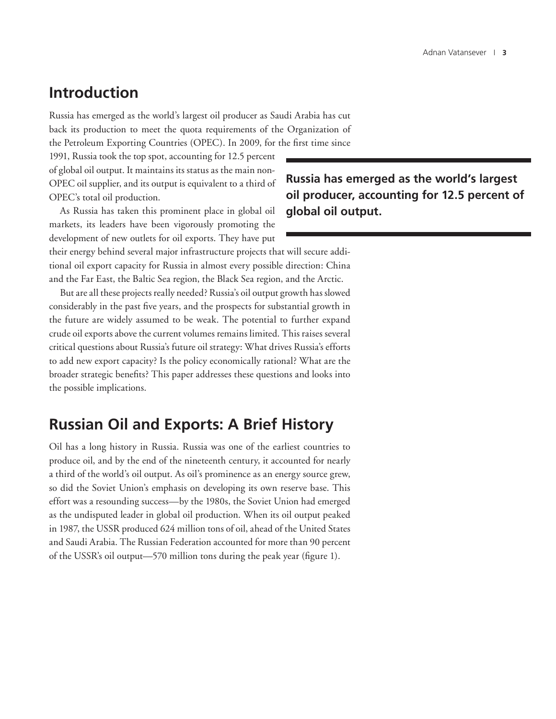## **Introduction**

Russia has emerged as the world's largest oil producer as Saudi Arabia has cut back its production to meet the quota requirements of the Organization of the Petroleum Exporting Countries (OPEC). In 2009, for the first time since

1991, Russia took the top spot, accounting for 12.5 percent of global oil output. It maintains its status as the main non-OPEC oil supplier, and its output is equivalent to a third of OPEC's total oil production.

As Russia has taken this prominent place in global oil markets, its leaders have been vigorously promoting the development of new outlets for oil exports. They have put

their energy behind several major infrastructure projects that will secure additional oil export capacity for Russia in almost every possible direction: China and the Far East, the Baltic Sea region, the Black Sea region, and the Arctic.

But are all these projects really needed? Russia's oil output growth has slowed considerably in the past five years, and the prospects for substantial growth in the future are widely assumed to be weak. The potential to further expand crude oil exports above the current volumes remains limited. This raises several critical questions about Russia's future oil strategy: What drives Russia's efforts to add new export capacity? Is the policy economically rational? What are the broader strategic benefits? This paper addresses these questions and looks into the possible implications.

### **Russian Oil and Exports: A Brief History**

Oil has a long history in Russia. Russia was one of the earliest countries to produce oil, and by the end of the nineteenth century, it accounted for nearly a third of the world's oil output. As oil's prominence as an energy source grew, so did the Soviet Union's emphasis on developing its own reserve base. This effort was a resounding success—by the 1980s, the Soviet Union had emerged as the undisputed leader in global oil production. When its oil output peaked in 1987, the USSR produced 624 million tons of oil, ahead of the United States and Saudi Arabia. The Russian Federation accounted for more than 90 percent of the USSR's oil output—570 million tons during the peak year (figure 1).

**Russia has emerged as the world's largest oil producer, accounting for 12.5 percent of global oil output.**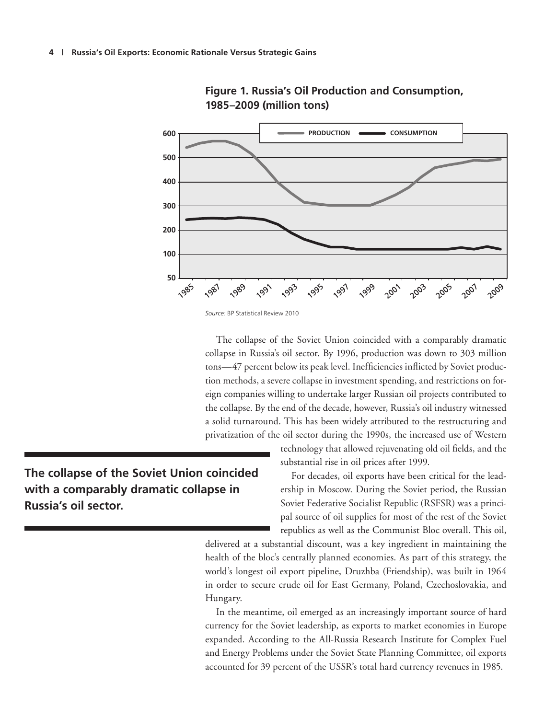



*Source:* BP Statistical Review 2010

The collapse of the Soviet Union coincided with a comparably dramatic collapse in Russia's oil sector. By 1996, production was down to 303 million tons—47 percent below its peak level. Inefficiencies inflicted by Soviet production methods, a severe collapse in investment spending, and restrictions on foreign companies willing to undertake larger Russian oil projects contributed to the collapse. By the end of the decade, however, Russia's oil industry witnessed a solid turnaround. This has been widely attributed to the restructuring and privatization of the oil sector during the 1990s, the increased use of Western

> technology that allowed rejuvenating old oil fields, and the substantial rise in oil prices after 1999.

> For decades, oil exports have been critical for the leadership in Moscow. During the Soviet period, the Russian Soviet Federative Socialist Republic (RSFSR) was a principal source of oil supplies for most of the rest of the Soviet republics as well as the Communist Bloc overall. This oil,

delivered at a substantial discount, was a key ingredient in maintaining the health of the bloc's centrally planned economies. As part of this strategy, the world's longest oil export pipeline, Druzhba (Friendship), was built in 1964 in order to secure crude oil for East Germany, Poland, Czechoslovakia, and Hungary.

In the meantime, oil emerged as an increasingly important source of hard currency for the Soviet leadership, as exports to market economies in Europe expanded. According to the All-Russia Research Institute for Complex Fuel and Energy Problems under the Soviet State Planning Committee, oil exports accounted for 39 percent of the USSR's total hard currency revenues in 1985.

**The collapse of the Soviet Union coincided with a comparably dramatic collapse in Russia's oil sector.**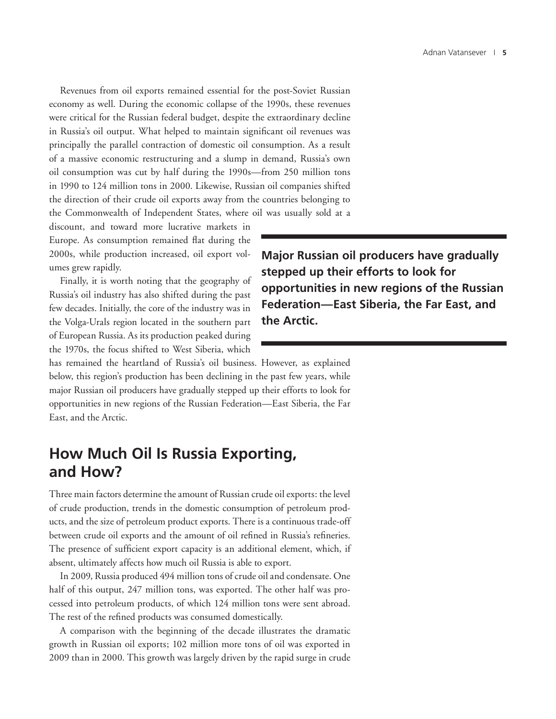Revenues from oil exports remained essential for the post-Soviet Russian economy as well. During the economic collapse of the 1990s, these revenues were critical for the Russian federal budget, despite the extraordinary decline in Russia's oil output. What helped to maintain significant oil revenues was principally the parallel contraction of domestic oil consumption. As a result of a massive economic restructuring and a slump in demand, Russia's own oil consumption was cut by half during the 1990s—from 250 million tons in 1990 to 124 million tons in 2000. Likewise, Russian oil companies shifted the direction of their crude oil exports away from the countries belonging to the Commonwealth of Independent States, where oil was usually sold at a

discount, and toward more lucrative markets in Europe. As consumption remained flat during the 2000s, while production increased, oil export volumes grew rapidly.

Finally, it is worth noting that the geography of Russia's oil industry has also shifted during the past few decades. Initially, the core of the industry was in the Volga-Urals region located in the southern part of European Russia. As its production peaked during the 1970s, the focus shifted to West Siberia, which

**Major Russian oil producers have gradually stepped up their efforts to look for opportunities in new regions of the Russian Federation—East Siberia, the Far East, and the Arctic.**

has remained the heartland of Russia's oil business. However, as explained below, this region's production has been declining in the past few years, while major Russian oil producers have gradually stepped up their efforts to look for opportunities in new regions of the Russian Federation—East Siberia, the Far East, and the Arctic.

## **How Much Oil Is Russia Exporting, and How?**

Three main factors determine the amount of Russian crude oil exports: the level of crude production, trends in the domestic consumption of petroleum products, and the size of petroleum product exports. There is a continuous trade-off between crude oil exports and the amount of oil refined in Russia's refineries. The presence of sufficient export capacity is an additional element, which, if absent, ultimately affects how much oil Russia is able to export.

In 2009, Russia produced 494 million tons of crude oil and condensate. One half of this output, 247 million tons, was exported. The other half was processed into petroleum products, of which 124 million tons were sent abroad. The rest of the refined products was consumed domestically.

A comparison with the beginning of the decade illustrates the dramatic growth in Russian oil exports; 102 million more tons of oil was exported in 2009 than in 2000. This growth was largely driven by the rapid surge in crude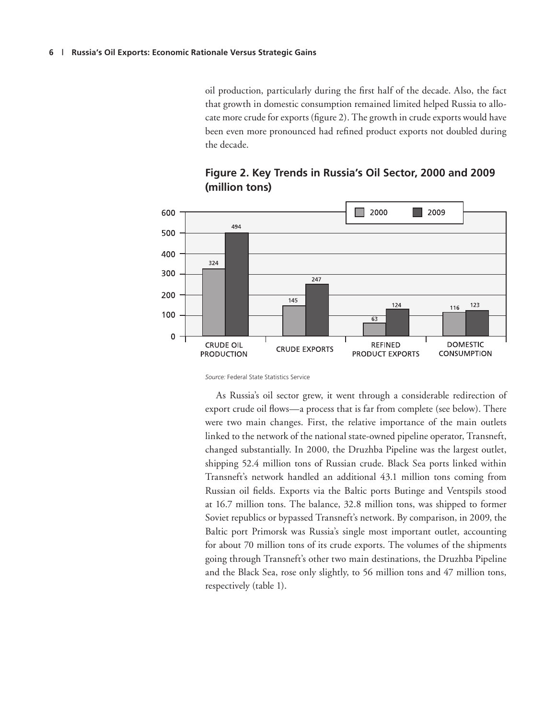oil production, particularly during the first half of the decade. Also, the fact that growth in domestic consumption remained limited helped Russia to allocate more crude for exports (figure 2). The growth in crude exports would have been even more pronounced had refined product exports not doubled during the decade.



#### **Figure 2. Key Trends in Russia's Oil Sector, 2000 and 2009 (million tons)**

*Source:* Federal State Statistics Service

As Russia's oil sector grew, it went through a considerable redirection of export crude oil flows—a process that is far from complete (see below). There were two main changes. First, the relative importance of the main outlets linked to the network of the national state-owned pipeline operator, Transneft, changed substantially. In 2000, the Druzhba Pipeline was the largest outlet, shipping 52.4 million tons of Russian crude. Black Sea ports linked within Transneft's network handled an additional 43.1 million tons coming from Russian oil fields. Exports via the Baltic ports Butinge and Ventspils stood at 16.7 million tons. The balance, 32.8 million tons, was shipped to former Soviet republics or bypassed Transneft's network. By comparison, in 2009, the Baltic port Primorsk was Russia's single most important outlet, accounting for about 70 million tons of its crude exports. The volumes of the shipments going through Transneft's other two main destinations, the Druzhba Pipeline and the Black Sea, rose only slightly, to 56 million tons and 47 million tons, respectively (table 1).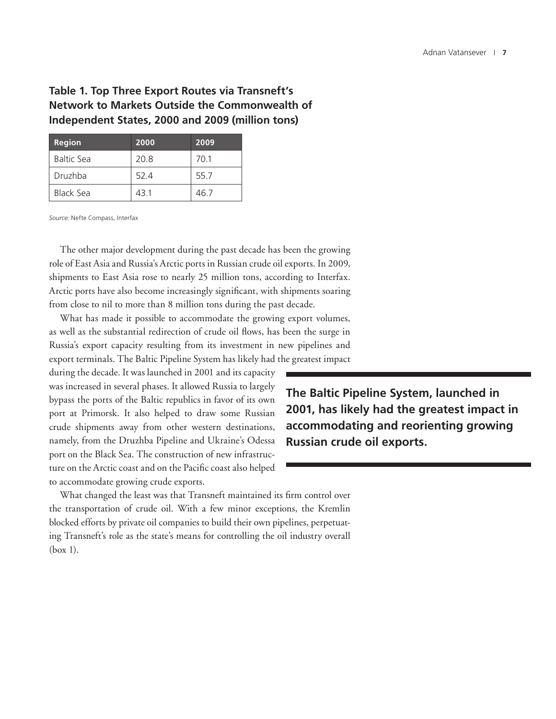#### **Table 1. Top Three Export Routes via Transneft's Network to Markets Outside the Commonwealth of Independent States, 2000 and 2009 (million tons)**

| <b>Region</b>     | 2000 | 2009 |
|-------------------|------|------|
| <b>Baltic Sea</b> | 20.8 | 70.1 |
| Druzhba           | 52.4 | 55.7 |
| Black Sea         | 43.1 | 46.7 |

*Source:* Nefte Compass, Interfax

The other major development during the past decade has been the growing role of East Asia and Russia's Arctic ports in Russian crude oil exports. In 2009, shipments to East Asia rose to nearly 25 million tons, according to Interfax. Arctic ports have also become increasingly significant, with shipments soaring from close to nil to more than 8 million tons during the past decade.

What has made it possible to accommodate the growing export volumes, as well as the substantial redirection of crude oil flows, has been the surge in Russia's export capacity resulting from its investment in new pipelines and export terminals. The Baltic Pipeline System has likely had the greatest impact

during the decade. It was launched in 2001 and its capacity was increased in several phases. It allowed Russia to largely bypass the ports of the Baltic republics in favor of its own port at Primorsk. It also helped to draw some Russian crude shipments away from other western destinations, namely, from the Druzhba Pipeline and Ukraine's Odessa port on the Black Sea. The construction of new infrastructure on the Arctic coast and on the Pacific coast also helped to accommodate growing crude exports.

**The Baltic Pipeline System, launched in 2001, has likely had the greatest impact in accommodating and reorienting growing Russian crude oil exports.**

What changed the least was that Transneft maintained its firm control over the transportation of crude oil. With a few minor exceptions, the Kremlin blocked efforts by private oil companies to build their own pipelines, perpetuating Transneft's role as the state's means for controlling the oil industry overall (box 1).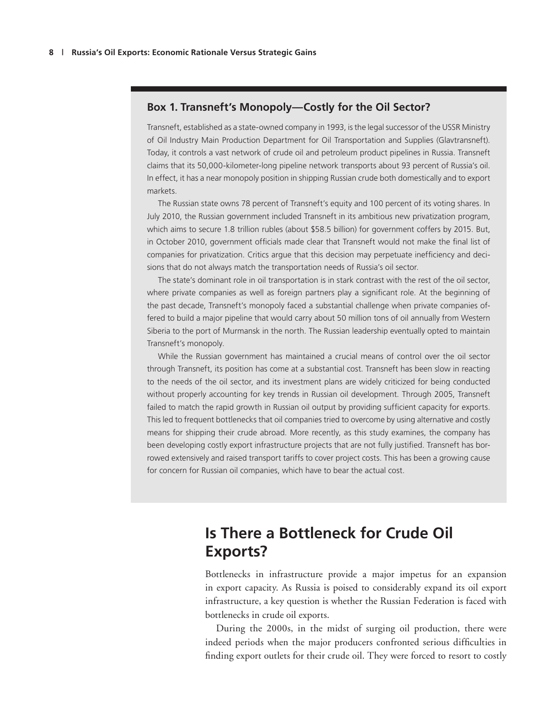#### **Box 1. Transneft's Monopoly—Costly for the Oil Sector?**

Transneft, established as a state-owned company in 1993, is the legal successor of the USSR Ministry of Oil Industry Main Production Department for Oil Transportation and Supplies (Glavtransneft). Today, it controls a vast network of crude oil and petroleum product pipelines in Russia. Transneft claims that its 50,000-kilometer-long pipeline network transports about 93 percent of Russia's oil. In effect, it has a near monopoly position in shipping Russian crude both domestically and to export markets.

The Russian state owns 78 percent of Transneft's equity and 100 percent of its voting shares. In July 2010, the Russian government included Transneft in its ambitious new privatization program, which aims to secure 1.8 trillion rubles (about \$58.5 billion) for government coffers by 2015. But, in October 2010, government officials made clear that Transneft would not make the final list of companies for privatization. Critics argue that this decision may perpetuate inefficiency and decisions that do not always match the transportation needs of Russia's oil sector.

The state's dominant role in oil transportation is in stark contrast with the rest of the oil sector, where private companies as well as foreign partners play a significant role. At the beginning of the past decade, Transneft's monopoly faced a substantial challenge when private companies offered to build a major pipeline that would carry about 50 million tons of oil annually from Western Siberia to the port of Murmansk in the north. The Russian leadership eventually opted to maintain Transneft's monopoly.

While the Russian government has maintained a crucial means of control over the oil sector through Transneft, its position has come at a substantial cost. Transneft has been slow in reacting to the needs of the oil sector, and its investment plans are widely criticized for being conducted without properly accounting for key trends in Russian oil development. Through 2005, Transneft failed to match the rapid growth in Russian oil output by providing sufficient capacity for exports. This led to frequent bottlenecks that oil companies tried to overcome by using alternative and costly means for shipping their crude abroad. More recently, as this study examines, the company has been developing costly export infrastructure projects that are not fully justified. Transneft has borrowed extensively and raised transport tariffs to cover project costs. This has been a growing cause for concern for Russian oil companies, which have to bear the actual cost.

## **Is There a Bottleneck for Crude Oil Exports?**

Bottlenecks in infrastructure provide a major impetus for an expansion in export capacity. As Russia is poised to considerably expand its oil export infrastructure, a key question is whether the Russian Federation is faced with bottlenecks in crude oil exports.

During the 2000s, in the midst of surging oil production, there were indeed periods when the major producers confronted serious difficulties in finding export outlets for their crude oil. They were forced to resort to costly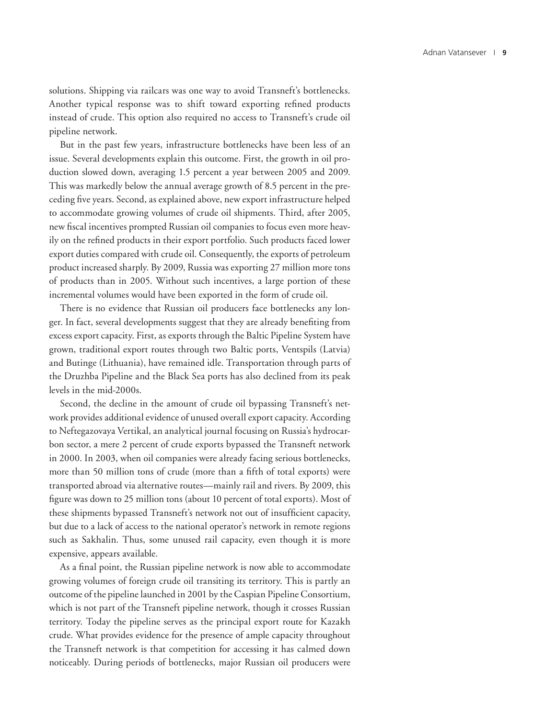solutions. Shipping via railcars was one way to avoid Transneft's bottlenecks. Another typical response was to shift toward exporting refined products instead of crude. This option also required no access to Transneft's crude oil pipeline network.

But in the past few years, infrastructure bottlenecks have been less of an issue. Several developments explain this outcome. First, the growth in oil production slowed down, averaging 1.5 percent a year between 2005 and 2009. This was markedly below the annual average growth of 8.5 percent in the preceding five years. Second, as explained above, new export infrastructure helped to accommodate growing volumes of crude oil shipments. Third, after 2005, new fiscal incentives prompted Russian oil companies to focus even more heavily on the refined products in their export portfolio. Such products faced lower export duties compared with crude oil. Consequently, the exports of petroleum product increased sharply. By 2009, Russia was exporting 27 million more tons of products than in 2005. Without such incentives, a large portion of these incremental volumes would have been exported in the form of crude oil.

There is no evidence that Russian oil producers face bottlenecks any longer. In fact, several developments suggest that they are already benefiting from excess export capacity. First, as exports through the Baltic Pipeline System have grown, traditional export routes through two Baltic ports, Ventspils (Latvia) and Butinge (Lithuania), have remained idle. Transportation through parts of the Druzhba Pipeline and the Black Sea ports has also declined from its peak levels in the mid-2000s.

Second, the decline in the amount of crude oil bypassing Transneft's network provides additional evidence of unused overall export capacity. According to Neftegazovaya Vertikal, an analytical journal focusing on Russia's hydrocarbon sector, a mere 2 percent of crude exports bypassed the Transneft network in 2000. In 2003, when oil companies were already facing serious bottlenecks, more than 50 million tons of crude (more than a fifth of total exports) were transported abroad via alternative routes—mainly rail and rivers. By 2009, this figure was down to 25 million tons (about 10 percent of total exports). Most of these shipments bypassed Transneft's network not out of insufficient capacity, but due to a lack of access to the national operator's network in remote regions such as Sakhalin. Thus, some unused rail capacity, even though it is more expensive, appears available.

As a final point, the Russian pipeline network is now able to accommodate growing volumes of foreign crude oil transiting its territory. This is partly an outcome of the pipeline launched in 2001 by the Caspian Pipeline Consortium, which is not part of the Transneft pipeline network, though it crosses Russian territory. Today the pipeline serves as the principal export route for Kazakh crude. What provides evidence for the presence of ample capacity throughout the Transneft network is that competition for accessing it has calmed down noticeably. During periods of bottlenecks, major Russian oil producers were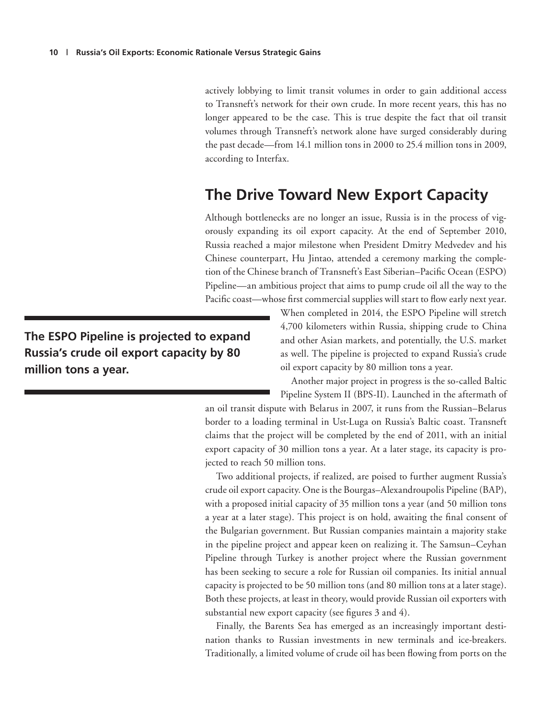actively lobbying to limit transit volumes in order to gain additional access to Transneft's network for their own crude. In more recent years, this has no longer appeared to be the case. This is true despite the fact that oil transit volumes through Transneft's network alone have surged considerably during the past decade—from 14.1 million tons in 2000 to 25.4 million tons in 2009, according to Interfax.

## **The Drive Toward New Export Capacity**

Although bottlenecks are no longer an issue, Russia is in the process of vigorously expanding its oil export capacity. At the end of September 2010, Russia reached a major milestone when President Dmitry Medvedev and his Chinese counterpart, Hu Jintao, attended a ceremony marking the completion of the Chinese branch of Transneft's East Siberian–Pacific Ocean (ESPO) Pipeline—an ambitious project that aims to pump crude oil all the way to the Pacific coast—whose first commercial supplies will start to flow early next year.

**The ESPO Pipeline is projected to expand Russia's crude oil export capacity by 80 million tons a year.**

When completed in 2014, the ESPO Pipeline will stretch 4,700 kilometers within Russia, shipping crude to China and other Asian markets, and potentially, the U.S. market as well. The pipeline is projected to expand Russia's crude oil export capacity by 80 million tons a year.

Another major project in progress is the so-called Baltic Pipeline System II (BPS-II). Launched in the aftermath of

an oil transit dispute with Belarus in 2007, it runs from the Russian–Belarus border to a loading terminal in Ust-Luga on Russia's Baltic coast. Transneft claims that the project will be completed by the end of 2011, with an initial export capacity of 30 million tons a year. At a later stage, its capacity is projected to reach 50 million tons.

Two additional projects, if realized, are poised to further augment Russia's crude oil export capacity. One is the Bourgas–Alexandroupolis Pipeline (BAP), with a proposed initial capacity of 35 million tons a year (and 50 million tons a year at a later stage). This project is on hold, awaiting the final consent of the Bulgarian government. But Russian companies maintain a majority stake in the pipeline project and appear keen on realizing it. The Samsun–Ceyhan Pipeline through Turkey is another project where the Russian government has been seeking to secure a role for Russian oil companies. Its initial annual capacity is projected to be 50 million tons (and 80 million tons at a later stage). Both these projects, at least in theory, would provide Russian oil exporters with substantial new export capacity (see figures 3 and 4).

Finally, the Barents Sea has emerged as an increasingly important destination thanks to Russian investments in new terminals and ice-breakers. Traditionally, a limited volume of crude oil has been flowing from ports on the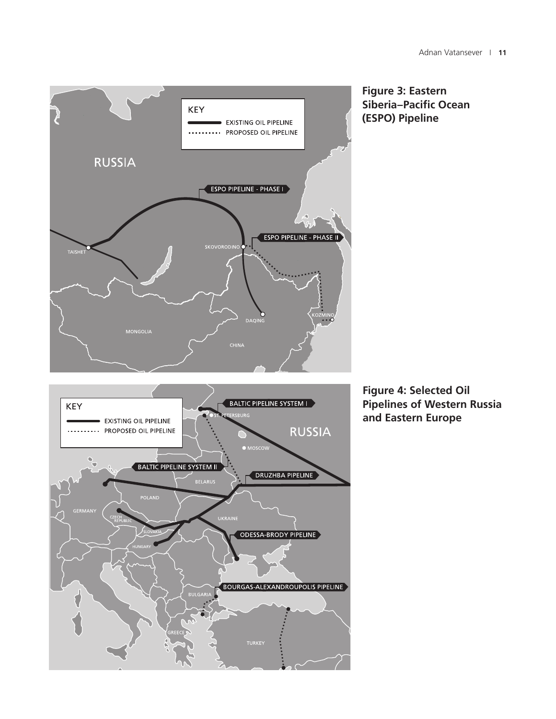





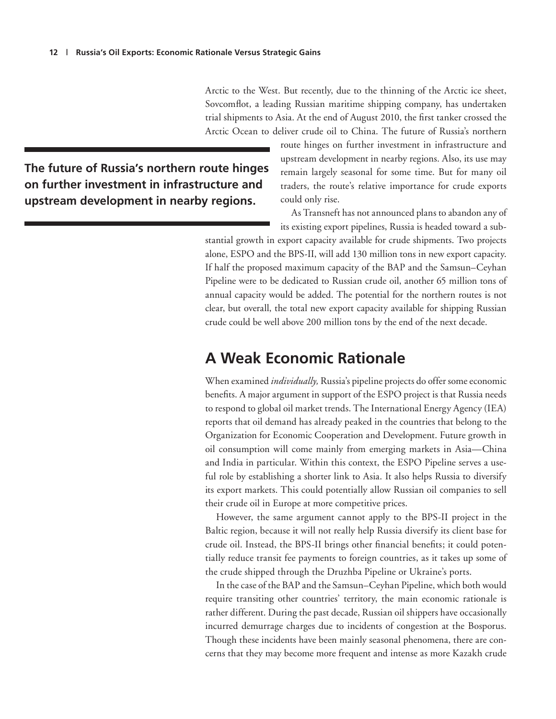Arctic to the West. But recently, due to the thinning of the Arctic ice sheet, Sovcomflot, a leading Russian maritime shipping company, has undertaken trial shipments to Asia. At the end of August 2010, the first tanker crossed the Arctic Ocean to deliver crude oil to China. The future of Russia's northern

**The future of Russia's northern route hinges on further investment in infrastructure and upstream development in nearby regions.** 

route hinges on further investment in infrastructure and upstream development in nearby regions. Also, its use may remain largely seasonal for some time. But for many oil traders, the route's relative importance for crude exports could only rise.

As Transneft has not announced plans to abandon any of its existing export pipelines, Russia is headed toward a sub-

stantial growth in export capacity available for crude shipments. Two projects alone, ESPO and the BPS-II, will add 130 million tons in new export capacity. If half the proposed maximum capacity of the BAP and the Samsun–Ceyhan Pipeline were to be dedicated to Russian crude oil, another 65 million tons of annual capacity would be added. The potential for the northern routes is not clear, but overall, the total new export capacity available for shipping Russian crude could be well above 200 million tons by the end of the next decade.

### **A Weak Economic Rationale**

When examined *individually,* Russia's pipeline projects do offer some economic benefits. A major argument in support of the ESPO project is that Russia needs to respond to global oil market trends. The International Energy Agency (IEA) reports that oil demand has already peaked in the countries that belong to the Organization for Economic Cooperation and Development. Future growth in oil consumption will come mainly from emerging markets in Asia—China and India in particular. Within this context, the ESPO Pipeline serves a useful role by establishing a shorter link to Asia. It also helps Russia to diversify its export markets. This could potentially allow Russian oil companies to sell their crude oil in Europe at more competitive prices.

However, the same argument cannot apply to the BPS-II project in the Baltic region, because it will not really help Russia diversify its client base for crude oil. Instead, the BPS-II brings other financial benefits; it could potentially reduce transit fee payments to foreign countries, as it takes up some of the crude shipped through the Druzhba Pipeline or Ukraine's ports.

In the case of the BAP and the Samsun–Ceyhan Pipeline, which both would require transiting other countries' territory, the main economic rationale is rather different. During the past decade, Russian oil shippers have occasionally incurred demurrage charges due to incidents of congestion at the Bosporus. Though these incidents have been mainly seasonal phenomena, there are concerns that they may become more frequent and intense as more Kazakh crude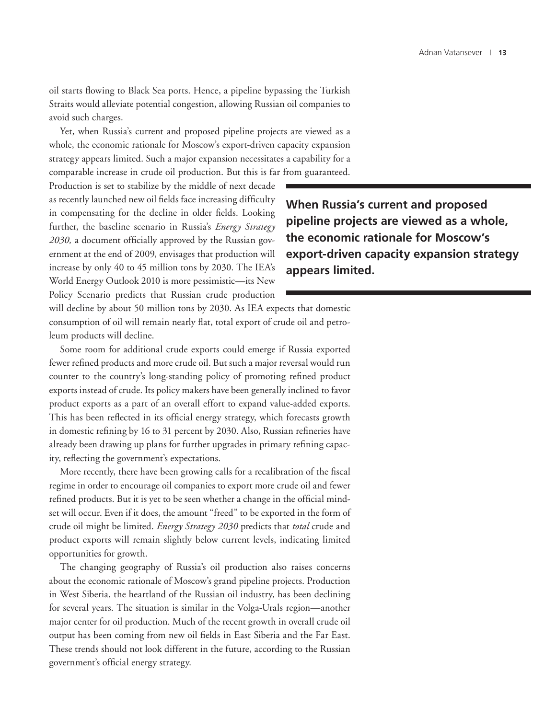oil starts flowing to Black Sea ports. Hence, a pipeline bypassing the Turkish Straits would alleviate potential congestion, allowing Russian oil companies to avoid such charges.

Yet, when Russia's current and proposed pipeline projects are viewed as a whole, the economic rationale for Moscow's export-driven capacity expansion strategy appears limited. Such a major expansion necessitates a capability for a comparable increase in crude oil production. But this is far from guaranteed.

Production is set to stabilize by the middle of next decade as recently launched new oil fields face increasing difficulty in compensating for the decline in older fields. Looking further, the baseline scenario in Russia's *Energy Strategy 2030,* a document officially approved by the Russian government at the end of 2009, envisages that production will increase by only 40 to 45 million tons by 2030. The IEA's World Energy Outlook 2010 is more pessimistic—its New Policy Scenario predicts that Russian crude production

**When Russia's current and proposed pipeline projects are viewed as a whole, the economic rationale for Moscow's export-driven capacity expansion strategy appears limited.**

will decline by about 50 million tons by 2030. As IEA expects that domestic consumption of oil will remain nearly flat, total export of crude oil and petroleum products will decline.

Some room for additional crude exports could emerge if Russia exported fewer refined products and more crude oil. But such a major reversal would run counter to the country's long-standing policy of promoting refined product exports instead of crude. Its policy makers have been generally inclined to favor product exports as a part of an overall effort to expand value-added exports. This has been reflected in its official energy strategy, which forecasts growth in domestic refining by 16 to 31 percent by 2030. Also, Russian refineries have already been drawing up plans for further upgrades in primary refining capacity, reflecting the government's expectations.

More recently, there have been growing calls for a recalibration of the fiscal regime in order to encourage oil companies to export more crude oil and fewer refined products. But it is yet to be seen whether a change in the official mindset will occur. Even if it does, the amount "freed" to be exported in the form of crude oil might be limited. *Energy Strategy 2030* predicts that *total* crude and product exports will remain slightly below current levels, indicating limited opportunities for growth.

The changing geography of Russia's oil production also raises concerns about the economic rationale of Moscow's grand pipeline projects. Production in West Siberia, the heartland of the Russian oil industry, has been declining for several years. The situation is similar in the Volga-Urals region—another major center for oil production. Much of the recent growth in overall crude oil output has been coming from new oil fields in East Siberia and the Far East. These trends should not look different in the future, according to the Russian government's official energy strategy.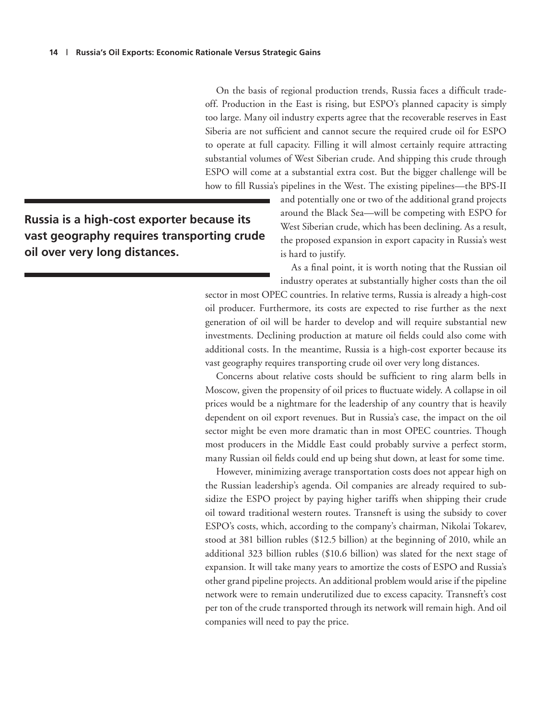On the basis of regional production trends, Russia faces a difficult tradeoff. Production in the East is rising, but ESPO's planned capacity is simply too large. Many oil industry experts agree that the recoverable reserves in East Siberia are not sufficient and cannot secure the required crude oil for ESPO to operate at full capacity. Filling it will almost certainly require attracting substantial volumes of West Siberian crude. And shipping this crude through ESPO will come at a substantial extra cost. But the bigger challenge will be how to fill Russia's pipelines in the West. The existing pipelines—the BPS-II

**Russia is a high-cost exporter because its vast geography requires transporting crude oil over very long distances.**

and potentially one or two of the additional grand projects around the Black Sea—will be competing with ESPO for West Siberian crude, which has been declining. As a result, the proposed expansion in export capacity in Russia's west is hard to justify.

As a final point, it is worth noting that the Russian oil industry operates at substantially higher costs than the oil

sector in most OPEC countries. In relative terms, Russia is already a high-cost oil producer. Furthermore, its costs are expected to rise further as the next generation of oil will be harder to develop and will require substantial new investments. Declining production at mature oil fields could also come with additional costs. In the meantime, Russia is a high-cost exporter because its vast geography requires transporting crude oil over very long distances.

Concerns about relative costs should be sufficient to ring alarm bells in Moscow, given the propensity of oil prices to fluctuate widely. A collapse in oil prices would be a nightmare for the leadership of any country that is heavily dependent on oil export revenues. But in Russia's case, the impact on the oil sector might be even more dramatic than in most OPEC countries. Though most producers in the Middle East could probably survive a perfect storm, many Russian oil fields could end up being shut down, at least for some time.

However, minimizing average transportation costs does not appear high on the Russian leadership's agenda. Oil companies are already required to subsidize the ESPO project by paying higher tariffs when shipping their crude oil toward traditional western routes. Transneft is using the subsidy to cover ESPO's costs, which, according to the company's chairman, Nikolai Tokarev, stood at 381 billion rubles (\$12.5 billion) at the beginning of 2010, while an additional 323 billion rubles (\$10.6 billion) was slated for the next stage of expansion. It will take many years to amortize the costs of ESPO and Russia's other grand pipeline projects. An additional problem would arise if the pipeline network were to remain underutilized due to excess capacity. Transneft's cost per ton of the crude transported through its network will remain high. And oil companies will need to pay the price.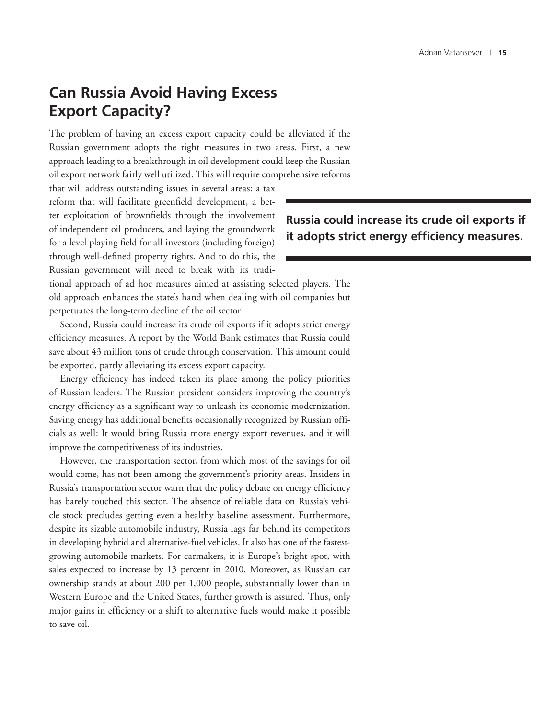## **Can Russia Avoid Having Excess Export Capacity?**

The problem of having an excess export capacity could be alleviated if the Russian government adopts the right measures in two areas. First, a new approach leading to a breakthrough in oil development could keep the Russian oil export network fairly well utilized. This will require comprehensive reforms

that will address outstanding issues in several areas: a tax reform that will facilitate greenfield development, a better exploitation of brownfields through the involvement of independent oil producers, and laying the groundwork for a level playing field for all investors (including foreign) through well-defined property rights. And to do this, the Russian government will need to break with its tradi-

**Russia could increase its crude oil exports if it adopts strict energy efficiency measures.**

tional approach of ad hoc measures aimed at assisting selected players. The old approach enhances the state's hand when dealing with oil companies but perpetuates the long-term decline of the oil sector.

Second, Russia could increase its crude oil exports if it adopts strict energy efficiency measures. A report by the World Bank estimates that Russia could save about 43 million tons of crude through conservation. This amount could be exported, partly alleviating its excess export capacity.

Energy efficiency has indeed taken its place among the policy priorities of Russian leaders. The Russian president considers improving the country's energy efficiency as a significant way to unleash its economic modernization. Saving energy has additional benefits occasionally recognized by Russian officials as well: It would bring Russia more energy export revenues, and it will improve the competitiveness of its industries.

However, the transportation sector, from which most of the savings for oil would come, has not been among the government's priority areas. Insiders in Russia's transportation sector warn that the policy debate on energy efficiency has barely touched this sector. The absence of reliable data on Russia's vehicle stock precludes getting even a healthy baseline assessment. Furthermore, despite its sizable automobile industry, Russia lags far behind its competitors in developing hybrid and alternative-fuel vehicles. It also has one of the fastestgrowing automobile markets. For carmakers, it is Europe's bright spot, with sales expected to increase by 13 percent in 2010. Moreover, as Russian car ownership stands at about 200 per 1,000 people, substantially lower than in Western Europe and the United States, further growth is assured. Thus, only major gains in efficiency or a shift to alternative fuels would make it possible to save oil.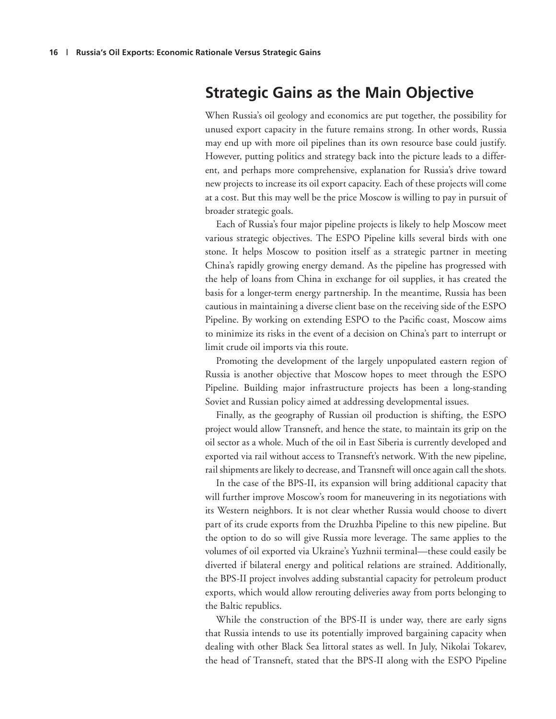## **Strategic Gains as the Main Objective**

When Russia's oil geology and economics are put together, the possibility for unused export capacity in the future remains strong. In other words, Russia may end up with more oil pipelines than its own resource base could justify. However, putting politics and strategy back into the picture leads to a different, and perhaps more comprehensive, explanation for Russia's drive toward new projects to increase its oil export capacity. Each of these projects will come at a cost. But this may well be the price Moscow is willing to pay in pursuit of broader strategic goals.

Each of Russia's four major pipeline projects is likely to help Moscow meet various strategic objectives. The ESPO Pipeline kills several birds with one stone. It helps Moscow to position itself as a strategic partner in meeting China's rapidly growing energy demand. As the pipeline has progressed with the help of loans from China in exchange for oil supplies, it has created the basis for a longer-term energy partnership. In the meantime, Russia has been cautious in maintaining a diverse client base on the receiving side of the ESPO Pipeline. By working on extending ESPO to the Pacific coast, Moscow aims to minimize its risks in the event of a decision on China's part to interrupt or limit crude oil imports via this route.

Promoting the development of the largely unpopulated eastern region of Russia is another objective that Moscow hopes to meet through the ESPO Pipeline. Building major infrastructure projects has been a long-standing Soviet and Russian policy aimed at addressing developmental issues.

Finally, as the geography of Russian oil production is shifting, the ESPO project would allow Transneft, and hence the state, to maintain its grip on the oil sector as a whole. Much of the oil in East Siberia is currently developed and exported via rail without access to Transneft's network. With the new pipeline, rail shipments are likely to decrease, and Transneft will once again call the shots.

In the case of the BPS-II, its expansion will bring additional capacity that will further improve Moscow's room for maneuvering in its negotiations with its Western neighbors. It is not clear whether Russia would choose to divert part of its crude exports from the Druzhba Pipeline to this new pipeline. But the option to do so will give Russia more leverage. The same applies to the volumes of oil exported via Ukraine's Yuzhnii terminal—these could easily be diverted if bilateral energy and political relations are strained. Additionally, the BPS-II project involves adding substantial capacity for petroleum product exports, which would allow rerouting deliveries away from ports belonging to the Baltic republics.

While the construction of the BPS-II is under way, there are early signs that Russia intends to use its potentially improved bargaining capacity when dealing with other Black Sea littoral states as well. In July, Nikolai Tokarev, the head of Transneft, stated that the BPS-II along with the ESPO Pipeline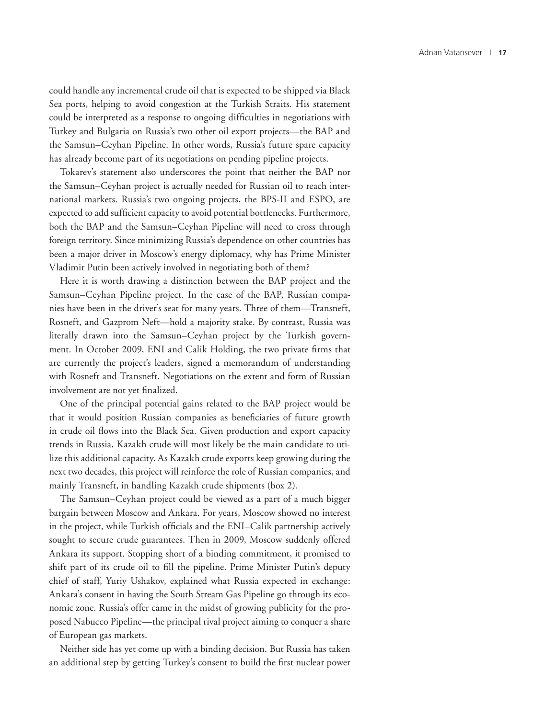could handle any incremental crude oil that is expected to be shipped via Black Sea ports, helping to avoid congestion at the Turkish Straits. His statement could be interpreted as a response to ongoing difficulties in negotiations with Turkey and Bulgaria on Russia's two other oil export projects—the BAP and the Samsun–Ceyhan Pipeline. In other words, Russia's future spare capacity has already become part of its negotiations on pending pipeline projects.

Tokarev's statement also underscores the point that neither the BAP nor the Samsun–Ceyhan project is actually needed for Russian oil to reach international markets. Russia's two ongoing projects, the BPS-II and ESPO, are expected to add sufficient capacity to avoid potential bottlenecks. Furthermore, both the BAP and the Samsun–Ceyhan Pipeline will need to cross through foreign territory. Since minimizing Russia's dependence on other countries has been a major driver in Moscow's energy diplomacy, why has Prime Minister Vladimir Putin been actively involved in negotiating both of them?

Here it is worth drawing a distinction between the BAP project and the Samsun–Ceyhan Pipeline project. In the case of the BAP, Russian companies have been in the driver's seat for many years. Three of them—Transneft, Rosneft, and Gazprom Neft—hold a majority stake. By contrast, Russia was literally drawn into the Samsun–Ceyhan project by the Turkish government. In October 2009, ENI and Calik Holding, the two private firms that are currently the project's leaders, signed a memorandum of understanding with Rosneft and Transneft. Negotiations on the extent and form of Russian involvement are not yet finalized.

One of the principal potential gains related to the BAP project would be that it would position Russian companies as beneficiaries of future growth in crude oil flows into the Black Sea. Given production and export capacity trends in Russia, Kazakh crude will most likely be the main candidate to utilize this additional capacity. As Kazakh crude exports keep growing during the next two decades, this project will reinforce the role of Russian companies, and mainly Transneft, in handling Kazakh crude shipments (box 2).

The Samsun–Ceyhan project could be viewed as a part of a much bigger bargain between Moscow and Ankara. For years, Moscow showed no interest in the project, while Turkish officials and the ENI–Calik partnership actively sought to secure crude guarantees. Then in 2009, Moscow suddenly offered Ankara its support. Stopping short of a binding commitment, it promised to shift part of its crude oil to fill the pipeline. Prime Minister Putin's deputy chief of staff, Yuriy Ushakov, explained what Russia expected in exchange: Ankara's consent in having the South Stream Gas Pipeline go through its economic zone. Russia's offer came in the midst of growing publicity for the proposed Nabucco Pipeline—the principal rival project aiming to conquer a share of European gas markets.

Neither side has yet come up with a binding decision. But Russia has taken an additional step by getting Turkey's consent to build the first nuclear power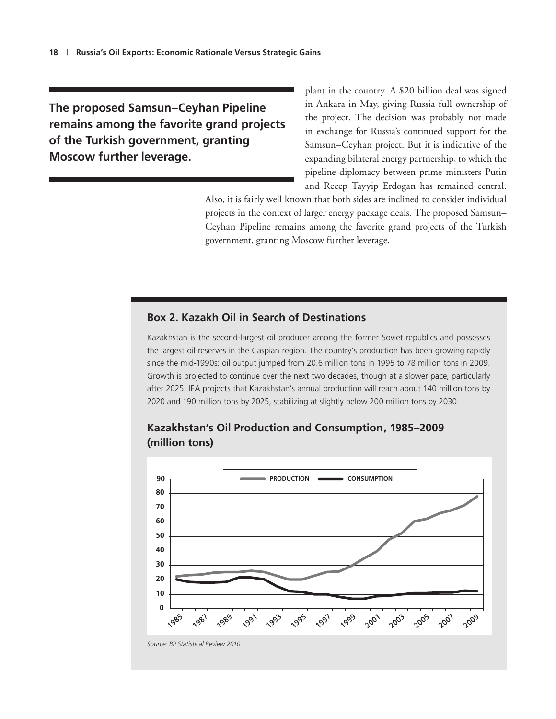**The proposed Samsun–Ceyhan Pipeline remains among the favorite grand projects of the Turkish government, granting Moscow further leverage.** 

plant in the country. A \$20 billion deal was signed in Ankara in May, giving Russia full ownership of the project. The decision was probably not made in exchange for Russia's continued support for the Samsun–Ceyhan project. But it is indicative of the expanding bilateral energy partnership, to which the pipeline diplomacy between prime ministers Putin and Recep Tayyip Erdogan has remained central.

Also, it is fairly well known that both sides are inclined to consider individual projects in the context of larger energy package deals. The proposed Samsun– Ceyhan Pipeline remains among the favorite grand projects of the Turkish government, granting Moscow further leverage.

#### **Box 2. Kazakh Oil in Search of Destinations**

Kazakhstan is the second-largest oil producer among the former Soviet republics and possesses the largest oil reserves in the Caspian region. The country's production has been growing rapidly since the mid-1990s: oil output jumped from 20.6 million tons in 1995 to 78 million tons in 2009. Growth is projected to continue over the next two decades, though at a slower pace, particularly after 2025. IEA projects that Kazakhstan's annual production will reach about 140 million tons by 2020 and 190 million tons by 2025, stabilizing at slightly below 200 million tons by 2030.



#### **Kazakhstan's Oil Production and Consumption, 1985–2009 (million tons)**

*Source: BP Statistical Review 2010*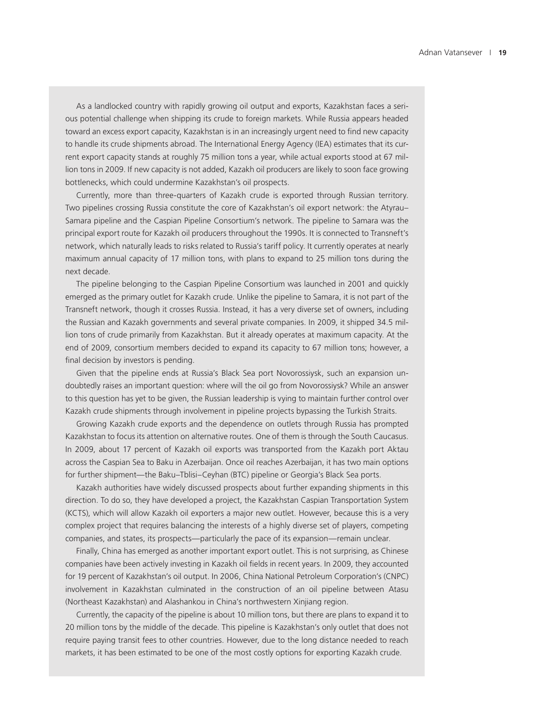As a landlocked country with rapidly growing oil output and exports, Kazakhstan faces a serious potential challenge when shipping its crude to foreign markets. While Russia appears headed toward an excess export capacity, Kazakhstan is in an increasingly urgent need to find new capacity to handle its crude shipments abroad. The International Energy Agency (IEA) estimates that its current export capacity stands at roughly 75 million tons a year, while actual exports stood at 67 million tons in 2009. If new capacity is not added, Kazakh oil producers are likely to soon face growing bottlenecks, which could undermine Kazakhstan's oil prospects.

Currently, more than three-quarters of Kazakh crude is exported through Russian territory. Two pipelines crossing Russia constitute the core of Kazakhstan's oil export network: the Atyrau– Samara pipeline and the Caspian Pipeline Consortium's network. The pipeline to Samara was the principal export route for Kazakh oil producers throughout the 1990s. It is connected to Transneft's network, which naturally leads to risks related to Russia's tariff policy. It currently operates at nearly maximum annual capacity of 17 million tons, with plans to expand to 25 million tons during the next decade.

The pipeline belonging to the Caspian Pipeline Consortium was launched in 2001 and quickly emerged as the primary outlet for Kazakh crude. Unlike the pipeline to Samara, it is not part of the Transneft network, though it crosses Russia. Instead, it has a very diverse set of owners, including the Russian and Kazakh governments and several private companies. In 2009, it shipped 34.5 million tons of crude primarily from Kazakhstan. But it already operates at maximum capacity. At the end of 2009, consortium members decided to expand its capacity to 67 million tons; however, a final decision by investors is pending.

Given that the pipeline ends at Russia's Black Sea port Novorossiysk, such an expansion undoubtedly raises an important question: where will the oil go from Novorossiysk? While an answer to this question has yet to be given, the Russian leadership is vying to maintain further control over Kazakh crude shipments through involvement in pipeline projects bypassing the Turkish Straits.

Growing Kazakh crude exports and the dependence on outlets through Russia has prompted Kazakhstan to focus its attention on alternative routes. One of them is through the South Caucasus. In 2009, about 17 percent of Kazakh oil exports was transported from the Kazakh port Aktau across the Caspian Sea to Baku in Azerbaijan. Once oil reaches Azerbaijan, it has two main options for further shipment—the Baku–Tblisi–Ceyhan (BTC) pipeline or Georgia's Black Sea ports.

Kazakh authorities have widely discussed prospects about further expanding shipments in this direction. To do so, they have developed a project, the Kazakhstan Caspian Transportation System (KCTS), which will allow Kazakh oil exporters a major new outlet. However, because this is a very complex project that requires balancing the interests of a highly diverse set of players, competing companies, and states, its prospects—particularly the pace of its expansion—remain unclear.

Finally, China has emerged as another important export outlet. This is not surprising, as Chinese companies have been actively investing in Kazakh oil fields in recent years. In 2009, they accounted for 19 percent of Kazakhstan's oil output. In 2006, China National Petroleum Corporation's (CNPC) involvement in Kazakhstan culminated in the construction of an oil pipeline between Atasu (Northeast Kazakhstan) and Alashankou in China's northwestern Xinjiang region.

Currently, the capacity of the pipeline is about 10 million tons, but there are plans to expand it to 20 million tons by the middle of the decade. This pipeline is Kazakhstan's only outlet that does not require paying transit fees to other countries. However, due to the long distance needed to reach markets, it has been estimated to be one of the most costly options for exporting Kazakh crude.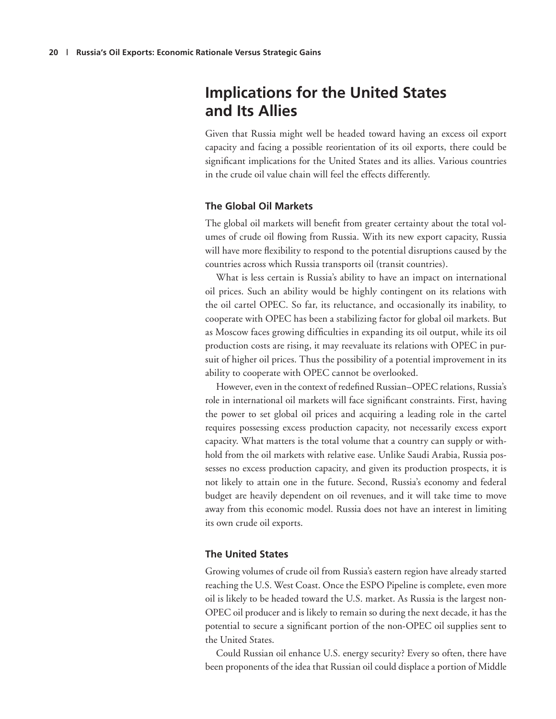## **Implications for the United States and Its Allies**

Given that Russia might well be headed toward having an excess oil export capacity and facing a possible reorientation of its oil exports, there could be significant implications for the United States and its allies. Various countries in the crude oil value chain will feel the effects differently.

#### **The Global Oil Markets**

The global oil markets will benefit from greater certainty about the total volumes of crude oil flowing from Russia. With its new export capacity, Russia will have more flexibility to respond to the potential disruptions caused by the countries across which Russia transports oil (transit countries).

What is less certain is Russia's ability to have an impact on international oil prices. Such an ability would be highly contingent on its relations with the oil cartel OPEC. So far, its reluctance, and occasionally its inability, to cooperate with OPEC has been a stabilizing factor for global oil markets. But as Moscow faces growing difficulties in expanding its oil output, while its oil production costs are rising, it may reevaluate its relations with OPEC in pursuit of higher oil prices. Thus the possibility of a potential improvement in its ability to cooperate with OPEC cannot be overlooked.

However, even in the context of redefined Russian–OPEC relations, Russia's role in international oil markets will face significant constraints. First, having the power to set global oil prices and acquiring a leading role in the cartel requires possessing excess production capacity, not necessarily excess export capacity. What matters is the total volume that a country can supply or withhold from the oil markets with relative ease. Unlike Saudi Arabia, Russia possesses no excess production capacity, and given its production prospects, it is not likely to attain one in the future. Second, Russia's economy and federal budget are heavily dependent on oil revenues, and it will take time to move away from this economic model. Russia does not have an interest in limiting its own crude oil exports.

#### **The United States**

Growing volumes of crude oil from Russia's eastern region have already started reaching the U.S. West Coast. Once the ESPO Pipeline is complete, even more oil is likely to be headed toward the U.S. market. As Russia is the largest non-OPEC oil producer and is likely to remain so during the next decade, it has the potential to secure a significant portion of the non-OPEC oil supplies sent to the United States.

Could Russian oil enhance U.S. energy security? Every so often, there have been proponents of the idea that Russian oil could displace a portion of Middle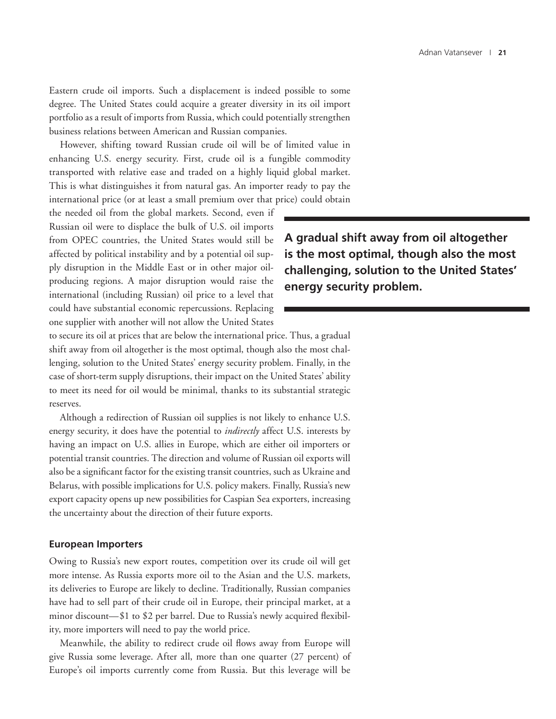Eastern crude oil imports. Such a displacement is indeed possible to some degree. The United States could acquire a greater diversity in its oil import portfolio as a result of imports from Russia, which could potentially strengthen business relations between American and Russian companies.

However, shifting toward Russian crude oil will be of limited value in enhancing U.S. energy security. First, crude oil is a fungible commodity transported with relative ease and traded on a highly liquid global market. This is what distinguishes it from natural gas. An importer ready to pay the international price (or at least a small premium over that price) could obtain

the needed oil from the global markets. Second, even if Russian oil were to displace the bulk of U.S. oil imports from OPEC countries, the United States would still be affected by political instability and by a potential oil supply disruption in the Middle East or in other major oilproducing regions. A major disruption would raise the international (including Russian) oil price to a level that could have substantial economic repercussions. Replacing one supplier with another will not allow the United States

**A gradual shift away from oil altogether is the most optimal, though also the most challenging, solution to the United States' energy security problem.**

to secure its oil at prices that are below the international price. Thus, a gradual shift away from oil altogether is the most optimal, though also the most challenging, solution to the United States' energy security problem. Finally, in the case of short-term supply disruptions, their impact on the United States' ability to meet its need for oil would be minimal, thanks to its substantial strategic reserves.

Although a redirection of Russian oil supplies is not likely to enhance U.S. energy security, it does have the potential to *indirectly* affect U.S. interests by having an impact on U.S. allies in Europe, which are either oil importers or potential transit countries. The direction and volume of Russian oil exports will also be a significant factor for the existing transit countries, such as Ukraine and Belarus, with possible implications for U.S. policy makers. Finally, Russia's new export capacity opens up new possibilities for Caspian Sea exporters, increasing the uncertainty about the direction of their future exports.

#### **European Importers**

Owing to Russia's new export routes, competition over its crude oil will get more intense. As Russia exports more oil to the Asian and the U.S. markets, its deliveries to Europe are likely to decline. Traditionally, Russian companies have had to sell part of their crude oil in Europe, their principal market, at a minor discount—\$1 to \$2 per barrel. Due to Russia's newly acquired flexibility, more importers will need to pay the world price.

Meanwhile, the ability to redirect crude oil flows away from Europe will give Russia some leverage. After all, more than one quarter (27 percent) of Europe's oil imports currently come from Russia. But this leverage will be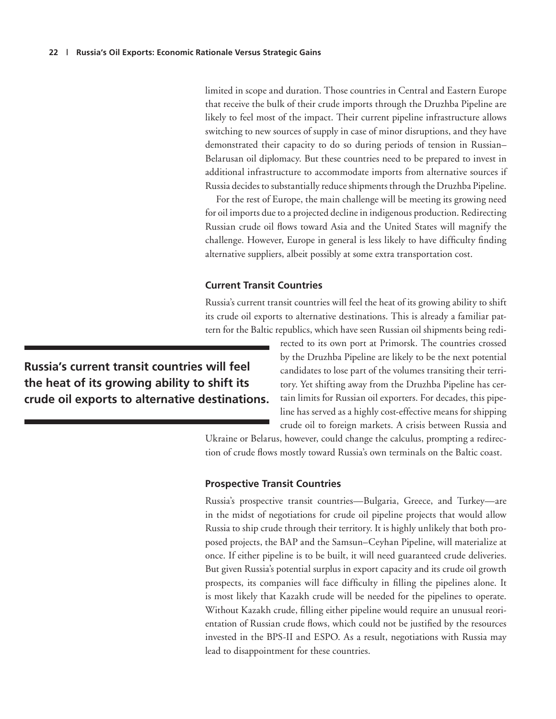limited in scope and duration. Those countries in Central and Eastern Europe that receive the bulk of their crude imports through the Druzhba Pipeline are likely to feel most of the impact. Their current pipeline infrastructure allows switching to new sources of supply in case of minor disruptions, and they have demonstrated their capacity to do so during periods of tension in Russian– Belarusan oil diplomacy. But these countries need to be prepared to invest in additional infrastructure to accommodate imports from alternative sources if Russia decides to substantially reduce shipments through the Druzhba Pipeline.

For the rest of Europe, the main challenge will be meeting its growing need for oil imports due to a projected decline in indigenous production. Redirecting Russian crude oil flows toward Asia and the United States will magnify the challenge. However, Europe in general is less likely to have difficulty finding alternative suppliers, albeit possibly at some extra transportation cost.

#### **Current Transit Countries**

Russia's current transit countries will feel the heat of its growing ability to shift its crude oil exports to alternative destinations. This is already a familiar pattern for the Baltic republics, which have seen Russian oil shipments being redi-

**Russia's current transit countries will feel the heat of its growing ability to shift its crude oil exports to alternative destinations.** rected to its own port at Primorsk. The countries crossed by the Druzhba Pipeline are likely to be the next potential candidates to lose part of the volumes transiting their territory. Yet shifting away from the Druzhba Pipeline has certain limits for Russian oil exporters. For decades, this pipeline has served as a highly cost-effective means for shipping crude oil to foreign markets. A crisis between Russia and

Ukraine or Belarus, however, could change the calculus, prompting a redirection of crude flows mostly toward Russia's own terminals on the Baltic coast.

#### **Prospective Transit Countries**

Russia's prospective transit countries—Bulgaria, Greece, and Turkey—are in the midst of negotiations for crude oil pipeline projects that would allow Russia to ship crude through their territory. It is highly unlikely that both proposed projects, the BAP and the Samsun–Ceyhan Pipeline, will materialize at once. If either pipeline is to be built, it will need guaranteed crude deliveries. But given Russia's potential surplus in export capacity and its crude oil growth prospects, its companies will face difficulty in filling the pipelines alone. It is most likely that Kazakh crude will be needed for the pipelines to operate. Without Kazakh crude, filling either pipeline would require an unusual reorientation of Russian crude flows, which could not be justified by the resources invested in the BPS-II and ESPO. As a result, negotiations with Russia may lead to disappointment for these countries.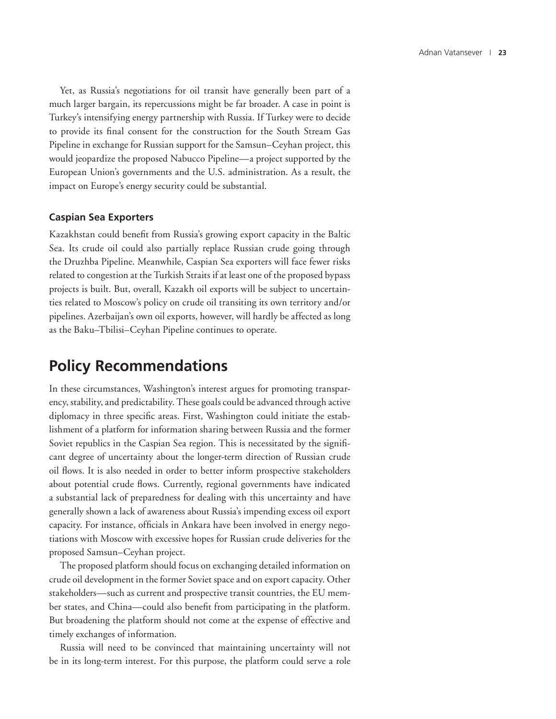Yet, as Russia's negotiations for oil transit have generally been part of a much larger bargain, its repercussions might be far broader. A case in point is Turkey's intensifying energy partnership with Russia. If Turkey were to decide to provide its final consent for the construction for the South Stream Gas Pipeline in exchange for Russian support for the Samsun–Ceyhan project, this would jeopardize the proposed Nabucco Pipeline—a project supported by the European Union's governments and the U.S. administration. As a result, the impact on Europe's energy security could be substantial.

#### **Caspian Sea Exporters**

Kazakhstan could benefit from Russia's growing export capacity in the Baltic Sea. Its crude oil could also partially replace Russian crude going through the Druzhba Pipeline. Meanwhile, Caspian Sea exporters will face fewer risks related to congestion at the Turkish Straits if at least one of the proposed bypass projects is built. But, overall, Kazakh oil exports will be subject to uncertainties related to Moscow's policy on crude oil transiting its own territory and/or pipelines. Azerbaijan's own oil exports, however, will hardly be affected as long as the Baku–Tbilisi–Ceyhan Pipeline continues to operate.

#### **Policy Recommendations**

In these circumstances, Washington's interest argues for promoting transparency, stability, and predictability. These goals could be advanced through active diplomacy in three specific areas. First, Washington could initiate the establishment of a platform for information sharing between Russia and the former Soviet republics in the Caspian Sea region. This is necessitated by the significant degree of uncertainty about the longer-term direction of Russian crude oil flows. It is also needed in order to better inform prospective stakeholders about potential crude flows. Currently, regional governments have indicated a substantial lack of preparedness for dealing with this uncertainty and have generally shown a lack of awareness about Russia's impending excess oil export capacity. For instance, officials in Ankara have been involved in energy negotiations with Moscow with excessive hopes for Russian crude deliveries for the proposed Samsun–Ceyhan project.

The proposed platform should focus on exchanging detailed information on crude oil development in the former Soviet space and on export capacity. Other stakeholders—such as current and prospective transit countries, the EU member states, and China—could also benefit from participating in the platform. But broadening the platform should not come at the expense of effective and timely exchanges of information.

Russia will need to be convinced that maintaining uncertainty will not be in its long-term interest. For this purpose, the platform could serve a role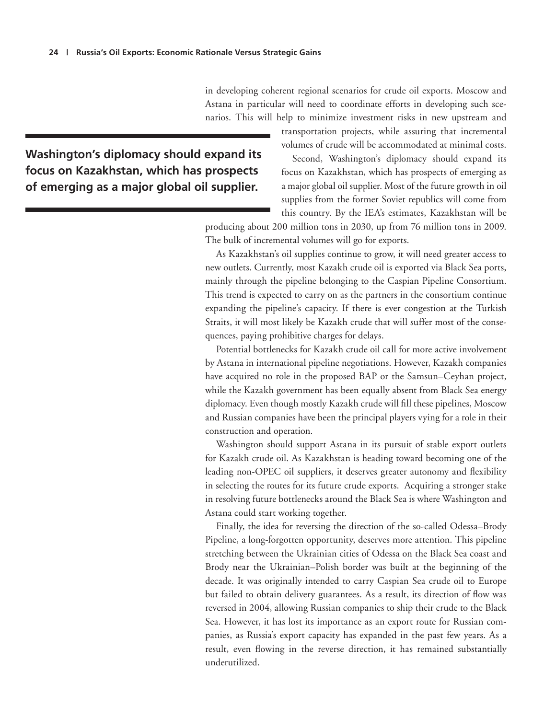in developing coherent regional scenarios for crude oil exports. Moscow and Astana in particular will need to coordinate efforts in developing such scenarios. This will help to minimize investment risks in new upstream and

**Washington's diplomacy should expand its focus on Kazakhstan, which has prospects of emerging as a major global oil supplier.**

transportation projects, while assuring that incremental volumes of crude will be accommodated at minimal costs.

Second, Washington's diplomacy should expand its focus on Kazakhstan, which has prospects of emerging as a major global oil supplier. Most of the future growth in oil supplies from the former Soviet republics will come from this country. By the IEA's estimates, Kazakhstan will be

producing about 200 million tons in 2030, up from 76 million tons in 2009. The bulk of incremental volumes will go for exports.

As Kazakhstan's oil supplies continue to grow, it will need greater access to new outlets. Currently, most Kazakh crude oil is exported via Black Sea ports, mainly through the pipeline belonging to the Caspian Pipeline Consortium. This trend is expected to carry on as the partners in the consortium continue expanding the pipeline's capacity. If there is ever congestion at the Turkish Straits, it will most likely be Kazakh crude that will suffer most of the consequences, paying prohibitive charges for delays.

Potential bottlenecks for Kazakh crude oil call for more active involvement by Astana in international pipeline negotiations. However, Kazakh companies have acquired no role in the proposed BAP or the Samsun–Ceyhan project, while the Kazakh government has been equally absent from Black Sea energy diplomacy. Even though mostly Kazakh crude will fill these pipelines, Moscow and Russian companies have been the principal players vying for a role in their construction and operation.

Washington should support Astana in its pursuit of stable export outlets for Kazakh crude oil. As Kazakhstan is heading toward becoming one of the leading non-OPEC oil suppliers, it deserves greater autonomy and flexibility in selecting the routes for its future crude exports. Acquiring a stronger stake in resolving future bottlenecks around the Black Sea is where Washington and Astana could start working together.

Finally, the idea for reversing the direction of the so-called Odessa–Brody Pipeline, a long-forgotten opportunity, deserves more attention. This pipeline stretching between the Ukrainian cities of Odessa on the Black Sea coast and Brody near the Ukrainian–Polish border was built at the beginning of the decade. It was originally intended to carry Caspian Sea crude oil to Europe but failed to obtain delivery guarantees. As a result, its direction of flow was reversed in 2004, allowing Russian companies to ship their crude to the Black Sea. However, it has lost its importance as an export route for Russian companies, as Russia's export capacity has expanded in the past few years. As a result, even flowing in the reverse direction, it has remained substantially underutilized.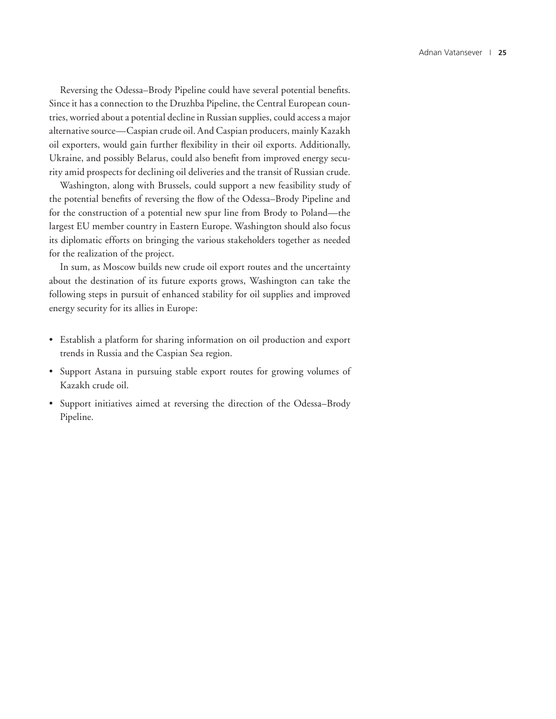Reversing the Odessa–Brody Pipeline could have several potential benefits. Since it has a connection to the Druzhba Pipeline, the Central European countries, worried about a potential decline in Russian supplies, could access a major alternative source—Caspian crude oil. And Caspian producers, mainly Kazakh oil exporters, would gain further flexibility in their oil exports. Additionally, Ukraine, and possibly Belarus, could also benefit from improved energy security amid prospects for declining oil deliveries and the transit of Russian crude.

Washington, along with Brussels, could support a new feasibility study of the potential benefits of reversing the flow of the Odessa–Brody Pipeline and for the construction of a potential new spur line from Brody to Poland—the largest EU member country in Eastern Europe. Washington should also focus its diplomatic efforts on bringing the various stakeholders together as needed for the realization of the project.

In sum, as Moscow builds new crude oil export routes and the uncertainty about the destination of its future exports grows, Washington can take the following steps in pursuit of enhanced stability for oil supplies and improved energy security for its allies in Europe:

- Establish a platform for sharing information on oil production and export trends in Russia and the Caspian Sea region.
- Support Astana in pursuing stable export routes for growing volumes of Kazakh crude oil.
- Support initiatives aimed at reversing the direction of the Odessa–Brody Pipeline.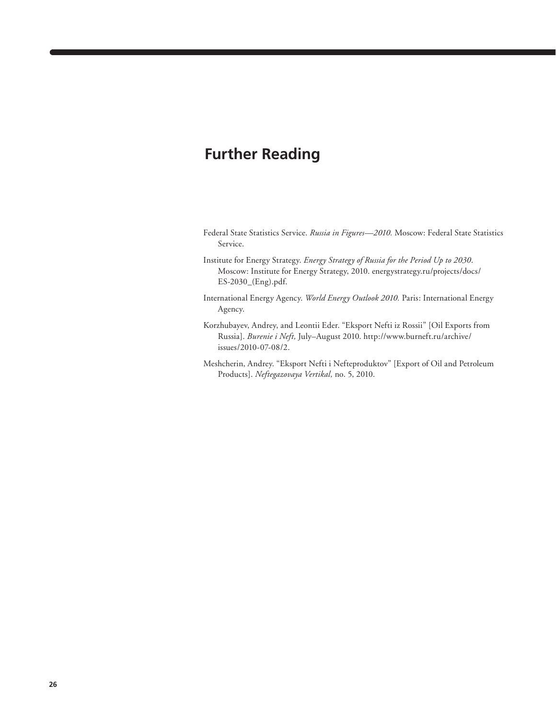## **Further Reading**

- Federal State Statistics Service. *Russia in Figures—2010.* Moscow: Federal State Statistics Service.
- Institute for Energy Strategy. *Energy Strategy of Russia for the Period Up to 2030*. Moscow: Institute for Energy Strategy, 2010. energystrategy.ru/projects/docs/ ES-2030\_(Eng).pdf.
- International Energy Agency. *World Energy Outlook 2010.* Paris: International Energy Agency.
- Korzhubayev, Andrey, and Leontii Eder. "Eksport Nefti iz Rossii" [Oil Exports from Russia]. *Burenie i Neft,* July–August 2010. http://www.burneft.ru/archive/ issues/2010-07-08/2.
- Meshcherin, Andrey. "Eksport Nefti i Nefteproduktov" [Export of Oil and Petroleum Products]. *Neftegazovaya Vertikal,* no. 5, 2010.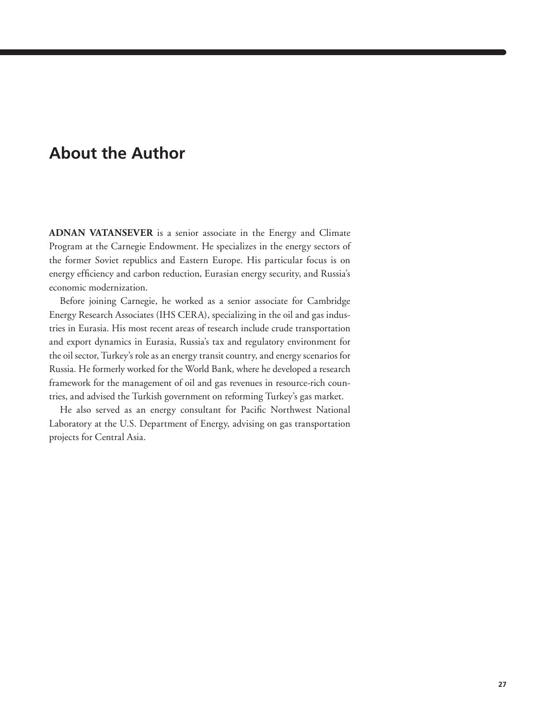## **About the Author**

**ADNAN VATANSEVER** is a senior associate in the Energy and Climate Program at the Carnegie Endowment. He specializes in the energy sectors of the former Soviet republics and Eastern Europe. His particular focus is on energy efficiency and carbon reduction, Eurasian energy security, and Russia's economic modernization.

Before joining Carnegie, he worked as a senior associate for Cambridge Energy Research Associates (IHS CERA), specializing in the oil and gas industries in Eurasia. His most recent areas of research include crude transportation and export dynamics in Eurasia, Russia's tax and regulatory environment for the oil sector, Turkey's role as an energy transit country, and energy scenarios for Russia. He formerly worked for the World Bank, where he developed a research framework for the management of oil and gas revenues in resource-rich countries, and advised the Turkish government on reforming Turkey's gas market.

He also served as an energy consultant for Pacific Northwest National Laboratory at the U.S. Department of Energy, advising on gas transportation projects for Central Asia.